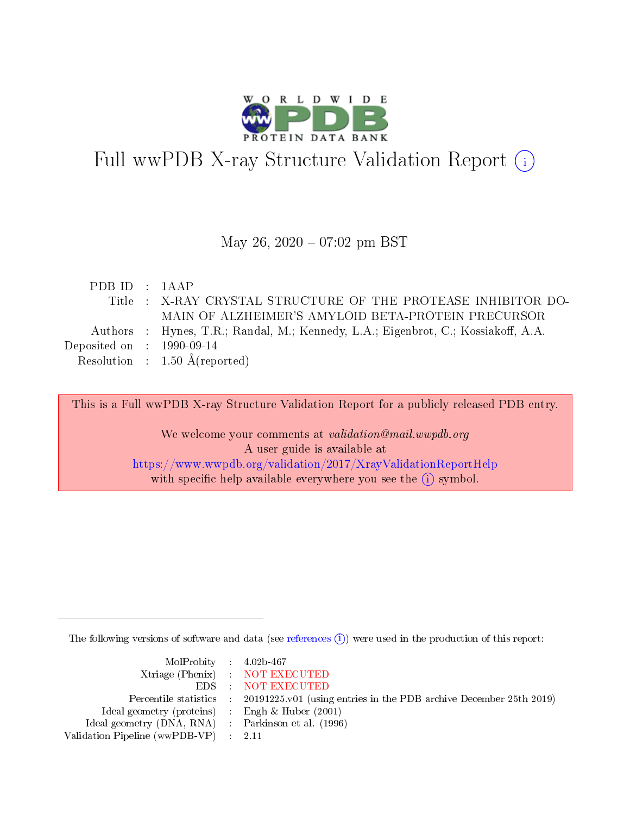

# Full wwPDB X-ray Structure Validation Report (i)

### May 26,  $2020 - 07:02$  pm BST

| PDB ID : $1AAP$                      |                                                                                   |
|--------------------------------------|-----------------------------------------------------------------------------------|
|                                      | Title : X-RAY CRYSTAL STRUCTURE OF THE PROTEASE INHIBITOR DO-                     |
|                                      | MAIN OF ALZHEIMER'S AMYLOID BETA-PROTEIN PRECURSOR                                |
|                                      | Authors : Hynes, T.R.; Randal, M.; Kennedy, L.A.; Eigenbrot, C.; Kossiakoff, A.A. |
| Deposited on $\therefore$ 1990-09-14 |                                                                                   |
|                                      | Resolution : $1.50 \text{ Å}$ (reported)                                          |
|                                      |                                                                                   |

This is a Full wwPDB X-ray Structure Validation Report for a publicly released PDB entry.

We welcome your comments at validation@mail.wwpdb.org A user guide is available at <https://www.wwpdb.org/validation/2017/XrayValidationReportHelp> with specific help available everywhere you see the  $(i)$  symbol.

The following versions of software and data (see [references](https://www.wwpdb.org/validation/2017/XrayValidationReportHelp#references)  $\overline{(1)}$ ) were used in the production of this report:

| $MolProbability$ 4.02b-467                          |                                                                    |
|-----------------------------------------------------|--------------------------------------------------------------------|
|                                                     | Xtriage (Phenix) NOT EXECUTED                                      |
|                                                     | EDS : NOT EXECUTED                                                 |
| Percentile statistics :                             | 20191225.v01 (using entries in the PDB archive December 25th 2019) |
| Ideal geometry (proteins) :                         | Engh $\&$ Huber (2001)                                             |
| Ideal geometry (DNA, RNA) : Parkinson et al. (1996) |                                                                    |
| Validation Pipeline (wwPDB-VP) : 2.11               |                                                                    |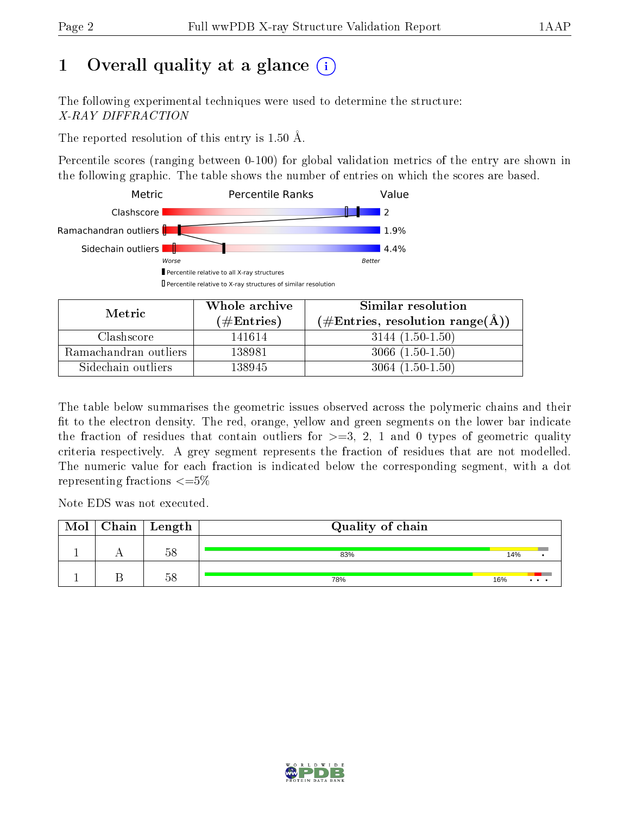# 1 [O](https://www.wwpdb.org/validation/2017/XrayValidationReportHelp#overall_quality)verall quality at a glance  $(i)$

The following experimental techniques were used to determine the structure: X-RAY DIFFRACTION

The reported resolution of this entry is 1.50 Å.

Percentile scores (ranging between 0-100) for global validation metrics of the entry are shown in the following graphic. The table shows the number of entries on which the scores are based.



| Metric                | Whole archive        | Similar resolution                                         |  |  |
|-----------------------|----------------------|------------------------------------------------------------|--|--|
|                       | $(\#\text{Entries})$ | $(\#\text{Entries}, \text{resolution range}(\text{\AA}) )$ |  |  |
| Clashscore            | 141614               | $3144(1.50-1.50)$                                          |  |  |
| Ramachandran outliers | 138981               | $3066(1.50-1.50)$                                          |  |  |
| Sidechain outliers    | 138945               | $3064(1.50-1.50)$                                          |  |  |

The table below summarises the geometric issues observed across the polymeric chains and their fit to the electron density. The red, orange, yellow and green segments on the lower bar indicate the fraction of residues that contain outliers for  $\geq=3$ , 2, 1 and 0 types of geometric quality criteria respectively. A grey segment represents the fraction of residues that are not modelled. The numeric value for each fraction is indicated below the corresponding segment, with a dot representing fractions  $\leq=5\%$ 

Note EDS was not executed.

| Mol | $\mid$ Chain $\mid$ Length $\mid$ | Quality of chain |     |
|-----|-----------------------------------|------------------|-----|
|     | $\mathbb{K}$ O                    | 83%              | 14% |
|     | 58                                | 78%              | 16% |

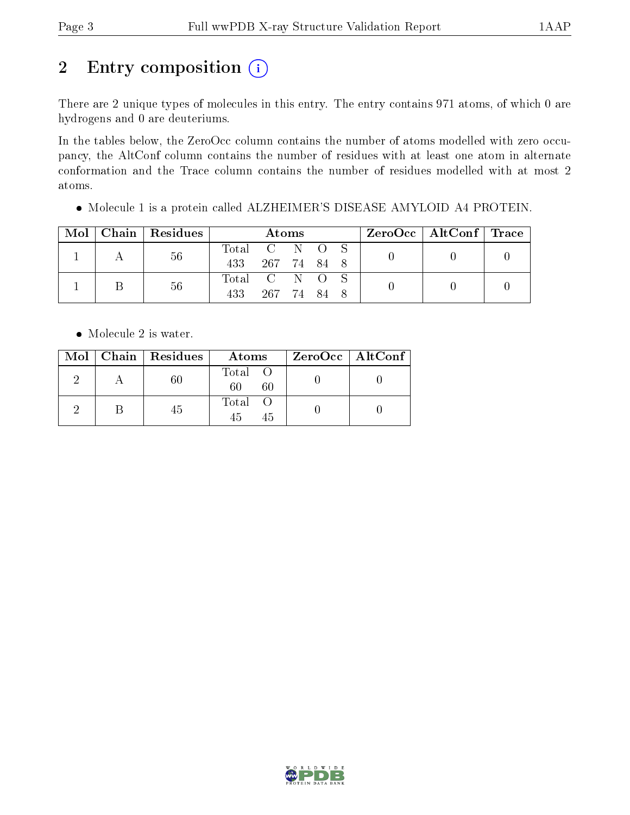# 2 Entry composition  $(i)$

There are 2 unique types of molecules in this entry. The entry contains 971 atoms, of which 0 are hydrogens and 0 are deuteriums.

In the tables below, the ZeroOcc column contains the number of atoms modelled with zero occupancy, the AltConf column contains the number of residues with at least one atom in alternate conformation and the Trace column contains the number of residues modelled with at most 2 atoms.

Molecule 1 is a protein called ALZHEIMER'S DISEASE AMYLOID A4 PROTEIN.

| Mol | $\vert$ Chain $\vert$ Residues | Atoms         |             |  |  | $\rm ZeroOcc$   AltConf   Trace |  |  |
|-----|--------------------------------|---------------|-------------|--|--|---------------------------------|--|--|
|     | 56                             | Total C N O S |             |  |  |                                 |  |  |
|     |                                | 433           | 267 74 84 8 |  |  |                                 |  |  |
|     | 56                             | Total C N O S |             |  |  |                                 |  |  |
|     |                                | 433           | 267 74 84   |  |  |                                 |  |  |

• Molecule 2 is water.

|  | Mol   Chain   Residues | Atoms               | $ZeroOcc \   \ AltConf \  $ |
|--|------------------------|---------------------|-----------------------------|
|  | 60                     | Total O<br>60<br>60 |                             |
|  | 45                     | Total O<br>45<br>45 |                             |

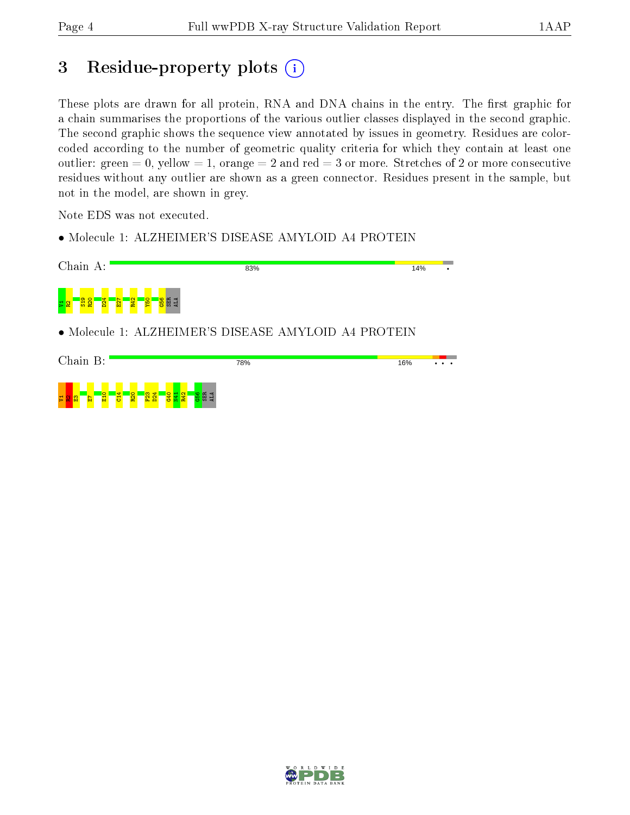# 3 Residue-property plots  $(i)$

These plots are drawn for all protein, RNA and DNA chains in the entry. The first graphic for a chain summarises the proportions of the various outlier classes displayed in the second graphic. The second graphic shows the sequence view annotated by issues in geometry. Residues are colorcoded according to the number of geometric quality criteria for which they contain at least one outlier: green  $= 0$ , yellow  $= 1$ , orange  $= 2$  and red  $= 3$  or more. Stretches of 2 or more consecutive residues without any outlier are shown as a green connector. Residues present in the sample, but not in the model, are shown in grey.

Note EDS was not executed.

• Molecule 1: ALZHEIMER'S DISEASE AMYLOID A4 PROTEIN



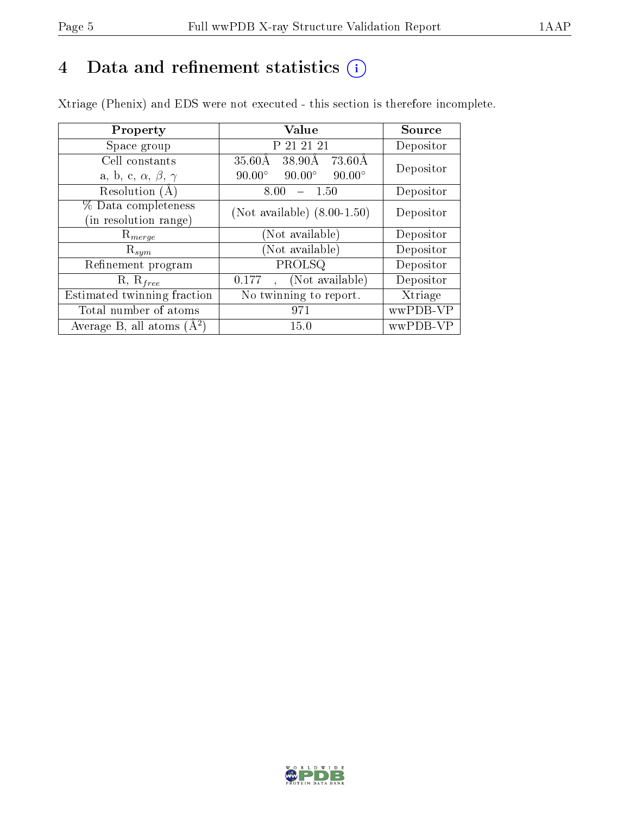# 4 Data and refinement statistics  $(i)$

Xtriage (Phenix) and EDS were not executed - this section is therefore incomplete.

| Property                               | Value                                            | Source    |  |
|----------------------------------------|--------------------------------------------------|-----------|--|
| Space group                            | P 21 21 21                                       | Depositor |  |
| Cell constants                         | $\overline{3}5.60\text{\AA}$<br>38.90Å<br>73.60Å | Depositor |  |
| a, b, c, $\alpha$ , $\beta$ , $\gamma$ | $90.00^\circ$<br>$90.00^\circ$<br>$90.00^\circ$  |           |  |
| Resolution (A)                         | 8.00<br>$-1.50$                                  | Depositor |  |
| % Data completeness                    | (Not available) $(8.00-1.50)$                    | Depositor |  |
| (in resolution range)                  |                                                  |           |  |
| $R_{merge}$                            | (Not available)                                  | Depositor |  |
| $\mathrm{R}_{sym}$                     | (Not available)                                  | Depositor |  |
| Refinement program                     | PROLSQ                                           | Depositor |  |
| $R, R_{free}$                          | (Not available)<br>0.177                         | Depositor |  |
| Estimated twinning fraction            | No twinning to report.                           | Xtriage   |  |
| Total number of atoms                  | 971                                              | wwPDB-VP  |  |
| Average B, all atoms $(A^2)$           | 15.0                                             | wwPDB-VP  |  |

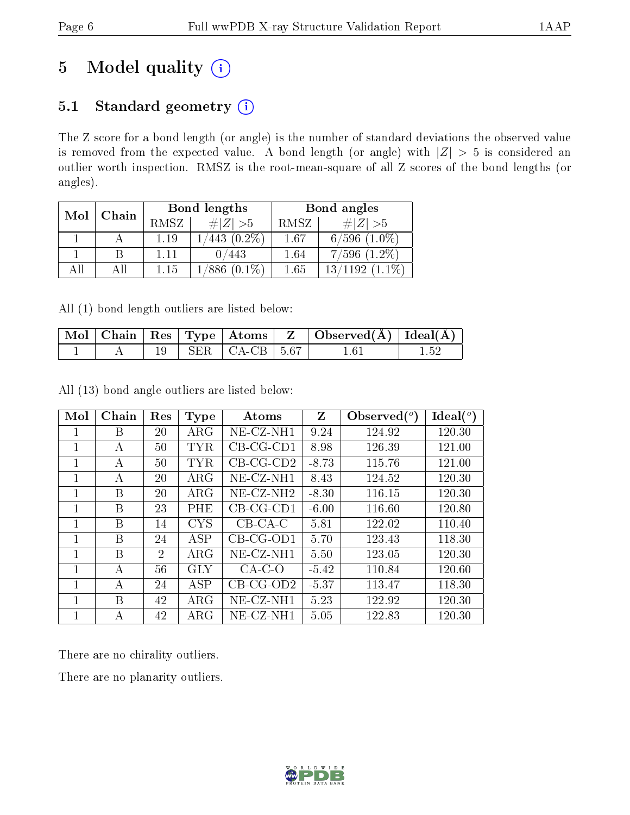# 5 Model quality  $(i)$

# 5.1 Standard geometry  $(i)$

The Z score for a bond length (or angle) is the number of standard deviations the observed value is removed from the expected value. A bond length (or angle) with  $|Z| > 5$  is considered an outlier worth inspection. RMSZ is the root-mean-square of all Z scores of the bond lengths (or angles).

| Mol | Chain |      | <b>Bond lengths</b> | Bond angles |                   |  |
|-----|-------|------|---------------------|-------------|-------------------|--|
|     |       | RMSZ | $\# Z  > 5$         | RMSZ        | $\# Z  > 5$       |  |
|     |       | 1.19 | $(0.2\%)$<br>443    | 1.67        | $6/596$ $(1.0\%)$ |  |
|     |       | 1.11 | 0/443               | 1.64        | $7/596$ $(1.2\%)$ |  |
|     |       | 1.15 | $(0.1\%)$           | 1.65        | $1.1\%)$          |  |

All (1) bond length outliers are listed below:

|  |  |                                                | $\vert$ Mol $\vert$ Chain $\vert$ Res $\vert$ Type $\vert$ Atoms $\vert$ Z $\vert$ Observed(A) $\vert$ Ideal(A) |  |
|--|--|------------------------------------------------|-----------------------------------------------------------------------------------------------------------------|--|
|  |  | $\vert$ SER $\vert$ CA-CB $\vert$ 5.67 $\vert$ | 1 61                                                                                                            |  |

All (13) bond angle outliers are listed below:

| Mol | Chain | Res | <b>Type</b> | Atoms               | Z       | Observed $(°)$ | Ideal $(^\circ)$ |
|-----|-------|-----|-------------|---------------------|---------|----------------|------------------|
|     | В     | 20  | $\rm{ARG}$  | $NE-CZ-NH1$         | 9.24    | 124.92         | 120.30           |
| 1   | А     | 50  | <b>TYR</b>  | $CB-CG-CD1$         | 8.98    | 126.39         | 121.00           |
|     | А     | 50  | TYR         | $CB-CG-CD2$         | $-8.73$ | 115.76         | 121.00           |
|     | А     | 20  | $\rm{ARG}$  | NE-CZ-NH1           | 8.43    | 124.52         | 120.30           |
|     | B     | 20  | ARG         | $NE-CZ-NH2$         | $-8.30$ | 116.15         | 120.30           |
|     | В     | 23  | PHE         | $CB-CG-CD1$         | $-6.00$ | 116.60         | 120.80           |
| 1   | В     | 14  | <b>CYS</b>  | $CB-CA-C$           | 5.81    | 122.02         | 110.40           |
| 1   | B     | 24  | <b>ASP</b>  | $CB-CG-OD1$         | 5.70    | 123.43         | 118.30           |
|     | B     | 2   | $\rm{ARG}$  | $NE$ - $CZ$ - $NH1$ | 5.50    | 123.05         | 120.30           |
| 1   | А     | 56  | <b>GLY</b>  | $CA-C-O$            | $-5.42$ | 110.84         | 120.60           |
| 1   | А     | 24  | <b>ASP</b>  | $CB-CG-OD2$         | $-5.37$ | 113.47         | 118.30           |
|     | B     | 42  | $\rm{ARG}$  | $NE- CZ-NH1$        | 5.23    | 122.92         | 120.30           |
|     | А     | 42  | ARG         | NE-CZ-NH1           | 5.05    | 122.83         | 120.30           |

There are no chirality outliers.

There are no planarity outliers.

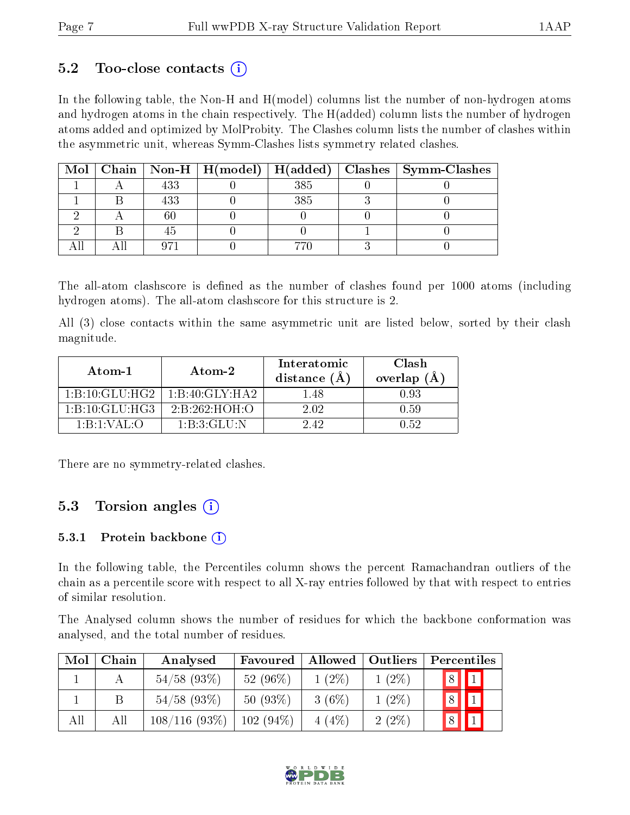### $5.2$  Too-close contacts  $(i)$

In the following table, the Non-H and H(model) columns list the number of non-hydrogen atoms and hydrogen atoms in the chain respectively. The H(added) column lists the number of hydrogen atoms added and optimized by MolProbity. The Clashes column lists the number of clashes within the asymmetric unit, whereas Symm-Clashes lists symmetry related clashes.

|  |     |     | Mol   Chain   Non-H   H(model)   H(added)   Clashes   Symm-Clashes |
|--|-----|-----|--------------------------------------------------------------------|
|  | 433 | 385 |                                                                    |
|  |     | 385 |                                                                    |
|  |     |     |                                                                    |
|  |     |     |                                                                    |
|  |     |     |                                                                    |

The all-atom clashscore is defined as the number of clashes found per 1000 atoms (including hydrogen atoms). The all-atom clashscore for this structure is 2.

All (3) close contacts within the same asymmetric unit are listed below, sorted by their clash magnitude.

| Atom-1                                    | Atom-2                                   | Interatomic<br>distance $(A)$ | Clash<br>overlap $(A)$ |  |
|-------------------------------------------|------------------------------------------|-------------------------------|------------------------|--|
| 1:B:10:GLU:HG2                            | $1 \cdot B \cdot 40 \cdot GLY \cdot HAD$ | 1 48                          | 0.93                   |  |
| $1 \cdot B \cdot 10 \cdot GLLU \cdot HG3$ | $2 \cdot B \cdot 262 \cdot HOH \cdot O$  | 2.02                          | 0.59                   |  |
| 1: B: 1: VAL: O                           | $1 \cdot B \cdot 3 \cdot GLLI \cdot N$   | 242                           | A 52                   |  |

There are no symmetry-related clashes.

### 5.3 Torsion angles (i)

#### 5.3.1 Protein backbone  $(i)$

In the following table, the Percentiles column shows the percent Ramachandran outliers of the chain as a percentile score with respect to all X-ray entries followed by that with respect to entries of similar resolution.

The Analysed column shows the number of residues for which the backbone conformation was analysed, and the total number of residues.

| Mol | Chain | Analysed       | Favoured    | Allowed <sup>1</sup> | Outliers | Percentiles                 |
|-----|-------|----------------|-------------|----------------------|----------|-----------------------------|
|     |       | $54/58$ (93\%) | 52 $(96\%)$ | $1(2\%)$             | $1(2\%)$ | 8 <br>$\textcolor{red}{11}$ |
|     | В     | $54/58$ (93\%) | $50(93\%)$  | $3(6\%)$             | $1(2\%)$ | $\boxed{8}$                 |
| All | All   | 108/116(93%)   | $102(94\%)$ | 4(4%)                | $2(2\%)$ | 8                           |

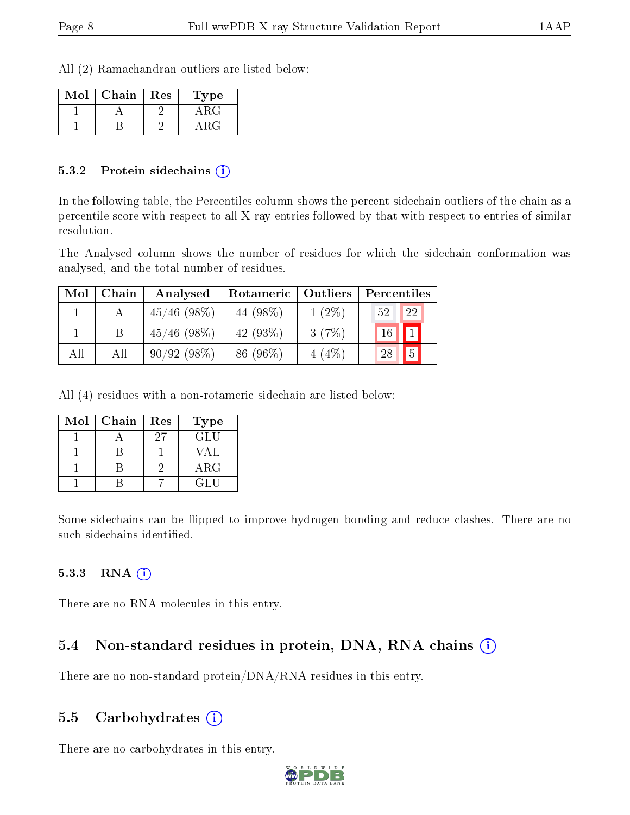All (2) Ramachandran outliers are listed below:

| Mol | Chain | Res | Type |
|-----|-------|-----|------|
|     |       |     | A RO |
|     |       |     |      |

#### 5.3.2 Protein sidechains  $\hat{I}$

In the following table, the Percentiles column shows the percent sidechain outliers of the chain as a percentile score with respect to all X-ray entries followed by that with respect to entries of similar resolution.

The Analysed column shows the number of residues for which the sidechain conformation was analysed, and the total number of residues.

| Mol | Chain | Analysed       | Rotameric   | Outliers | Percentiles          |
|-----|-------|----------------|-------------|----------|----------------------|
|     |       | $45/46$ (98\%) | 44 (98\%)   | $1(2\%)$ | 22<br>52             |
|     |       | $45/46$ (98\%) | 42 $(93\%)$ | 3(7%)    | 16                   |
| All | Αll   | 90/92(98%)     | 86 (96%)    | 4(4%     | $\overline{5}$<br>28 |

All (4) residues with a non-rotameric sidechain are listed below:

| Mol | Chain | Res | <b>Type</b> |
|-----|-------|-----|-------------|
|     |       | 97  | GLU         |
|     |       |     | VA L        |
|     |       |     | $\rm{ARG}$  |
|     |       |     | GLU         |

Some sidechains can be flipped to improve hydrogen bonding and reduce clashes. There are no such sidechains identified.

#### $5.3.3$  RNA  $(i)$

There are no RNA molecules in this entry.

# 5.4 Non-standard residues in protein, DNA, RNA chains (i)

There are no non-standard protein/DNA/RNA residues in this entry.

### 5.5 Carbohydrates  $(i)$

There are no carbohydrates in this entry.

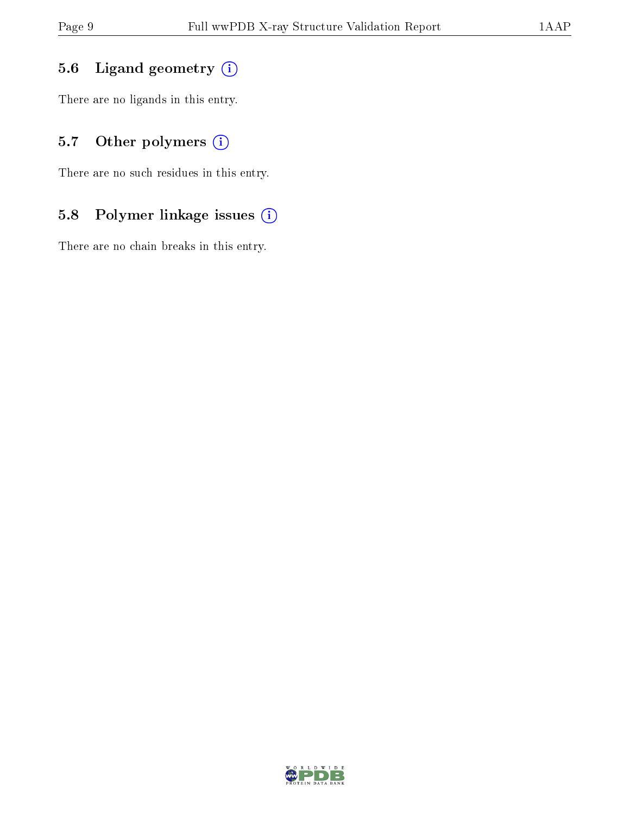## 5.6 Ligand geometry (i)

There are no ligands in this entry.

## 5.7 [O](https://www.wwpdb.org/validation/2017/XrayValidationReportHelp#nonstandard_residues_and_ligands)ther polymers (i)

There are no such residues in this entry.

## 5.8 Polymer linkage issues (i)

There are no chain breaks in this entry.